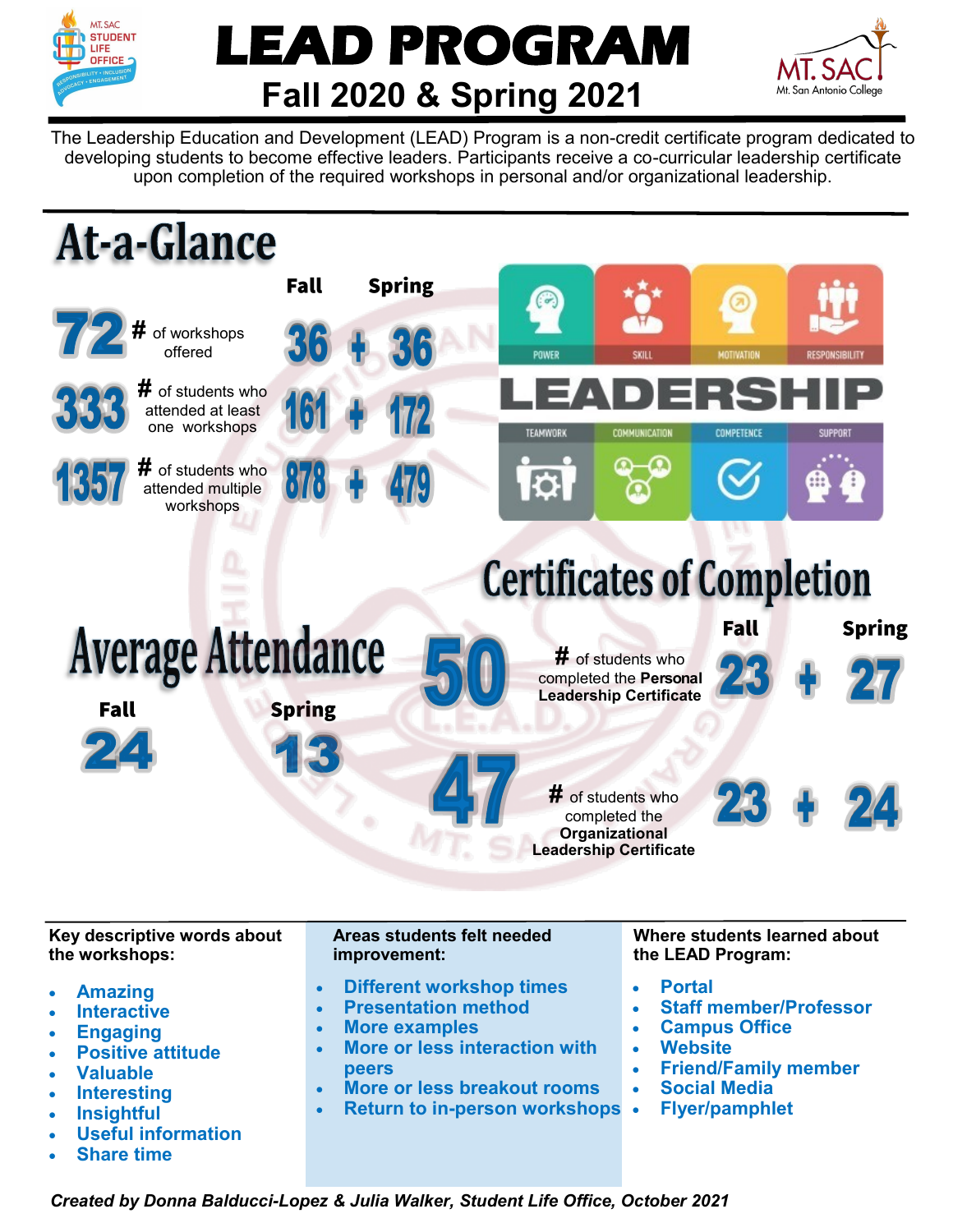

## **LEAD PROGRAM Fall 2020 & Spring 2021**



The Leadership Education and Development (LEAD) Program is a non-credit certificate program dedicated to developing students to become effective leaders. Participants receive a co-curricular leadership certificate upon completion of the required workshops in personal and/or organizational leadership.



**Key descriptive words about the workshops:** 

- **Amazing**
- **Interactive**
- **Engaging**
- **Positive attitude**
- **Valuable**
- **Interesting**
- **Insightful**
- **Useful information**
- **Share time**

## **Areas students felt needed improvement:**

- **Different workshop times**
- **Presentation method**
- **More examples**
- **More or less interaction with peers**
- **More or less breakout rooms**
- **Return to in-person workshops**

**Where students learned about the LEAD Program:**

- **Portal**
- **Staff member/Professor**
- **Campus Office**
- **Website**
- **Friend/Family member**
- **Social Media**
- **Flyer/pamphlet**

*Created by Donna Balducci-Lopez & Julia Walker, Student Life Office, October 2021*